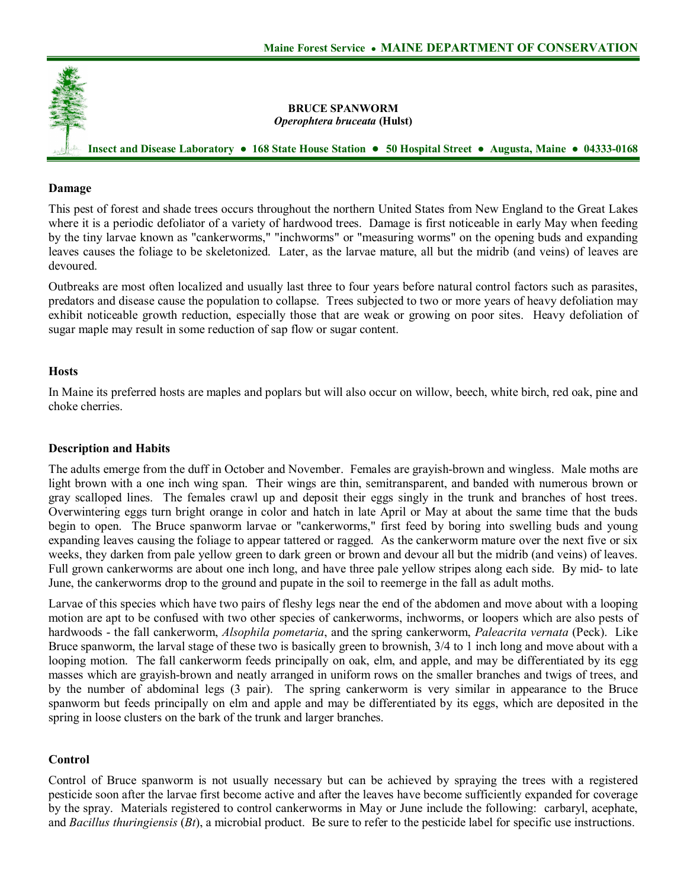

### **Damage**

This pest of forest and shade trees occurs throughout the northern United States from New England to the Great Lakes where it is a periodic defoliator of a variety of hardwood trees. Damage is first noticeable in early May when feeding by the tiny larvae known as "cankerworms," "inchworms" or "measuring worms" on the opening buds and expanding leaves causes the foliage to be skeletonized. Later, as the larvae mature, all but the midrib (and veins) of leaves are devoured.

Outbreaks are most often localized and usually last three to four years before natural control factors such as parasites, predators and disease cause the population to collapse. Trees subjected to two or more years of heavy defoliation may exhibit noticeable growth reduction, especially those that are weak or growing on poor sites. Heavy defoliation of sugar maple may result in some reduction of sap flow or sugar content.

#### **Hosts**

In Maine its preferred hosts are maples and poplars but will also occur on willow, beech, white birch, red oak, pine and choke cherries.

### **Description and Habits**

The adults emerge from the duff in October and November. Females are grayish-brown and wingless. Male moths are light brown with a one inch wing span. Their wings are thin, semitransparent, and banded with numerous brown or gray scalloped lines. The females crawl up and deposit their eggs singly in the trunk and branches of host trees. Overwintering eggs turn bright orange in color and hatch in late April or May at about the same time that the buds begin to open. The Bruce spanworm larvae or "cankerworms," first feed by boring into swelling buds and young expanding leaves causing the foliage to appear tattered or ragged. As the cankerworm mature over the next five or six weeks, they darken from pale yellow green to dark green or brown and devour all but the midrib (and veins) of leaves. Full grown cankerworms are about one inch long, and have three pale yellow stripes along each side. By mid- to late June, the cankerworms drop to the ground and pupate in the soil to reemerge in the fall as adult moths.

Larvae of this species which have two pairs of fleshy legs near the end of the abdomen and move about with a looping motion are apt to be confused with two other species of cankerworms, inchworms, or loopers which are also pests of hardwoods the fall cankerworm, *Alsophila pometaria*, and the spring cankerworm, *Paleacrita vernata* (Peck). Like Bruce spanworm, the larval stage of these two is basically green to brownish, 3/4 to 1 inch long and move about with a looping motion. The fall cankerworm feeds principally on oak, elm, and apple, and may be differentiated by its egg masses which are gravish-brown and neatly arranged in uniform rows on the smaller branches and twigs of trees, and by the number of abdominal legs (3 pair). The spring cankerworm is very similar in appearance to the Bruce spanworm but feeds principally on elm and apple and may be differentiated by its eggs, which are deposited in the spring in loose clusters on the bark of the trunk and larger branches.

## **Control**

Control of Bruce spanworm is not usually necessary but can be achieved by spraying the trees with a registered pesticide soon after the larvae first become active and after the leaves have become sufficiently expanded for coverage by the spray. Materials registered to control cankerworms in May or June include the following: carbaryl, acephate, and *Bacillus thuringiensis* (*Bt*), a microbial product. Be sure to refer to the pesticide label for specific use instructions.